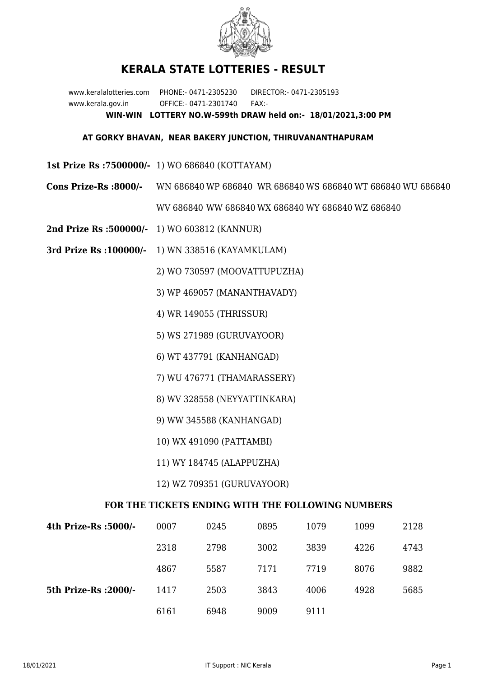

## **KERALA STATE LOTTERIES - RESULT**

www.keralalotteries.com PHONE:- 0471-2305230 DIRECTOR:- 0471-2305193 www.kerala.gov.in OFFICE:- 0471-2301740 FAX:- **WIN-WIN LOTTERY NO.W-599th DRAW held on:- 18/01/2021,3:00 PM**

## **AT GORKY BHAVAN, NEAR BAKERY JUNCTION, THIRUVANANTHAPURAM**

- **1st Prize Rs :7500000/-** 1) WO 686840 (KOTTAYAM)
- **Cons Prize-Rs :8000/-** WN 686840 WP 686840 WR 686840 WS 686840 WT 686840 WU 686840 WV 686840 WW 686840 WX 686840 WY 686840 WZ 686840
- **2nd Prize Rs :500000/-** 1) WO 603812 (KANNUR)
- **3rd Prize Rs :100000/-** 1) WN 338516 (KAYAMKULAM)

2) WO 730597 (MOOVATTUPUZHA)

- 3) WP 469057 (MANANTHAVADY)
- 4) WR 149055 (THRISSUR)
- 5) WS 271989 (GURUVAYOOR)
- 6) WT 437791 (KANHANGAD)
- 7) WU 476771 (THAMARASSERY)
- 8) WV 328558 (NEYYATTINKARA)
- 9) WW 345588 (KANHANGAD)
- 10) WX 491090 (PATTAMBI)
- 11) WY 184745 (ALAPPUZHA)
- 12) WZ 709351 (GURUVAYOOR)

## **FOR THE TICKETS ENDING WITH THE FOLLOWING NUMBERS**

| 4th Prize-Rs :5000/-  | 0007 | 0245 | 0895 | 1079 | 1099 | 2128 |
|-----------------------|------|------|------|------|------|------|
|                       | 2318 | 2798 | 3002 | 3839 | 4226 | 4743 |
|                       | 4867 | 5587 | 7171 | 7719 | 8076 | 9882 |
| 5th Prize-Rs : 2000/- | 1417 | 2503 | 3843 | 4006 | 4928 | 5685 |
|                       | 6161 | 6948 | 9009 | 9111 |      |      |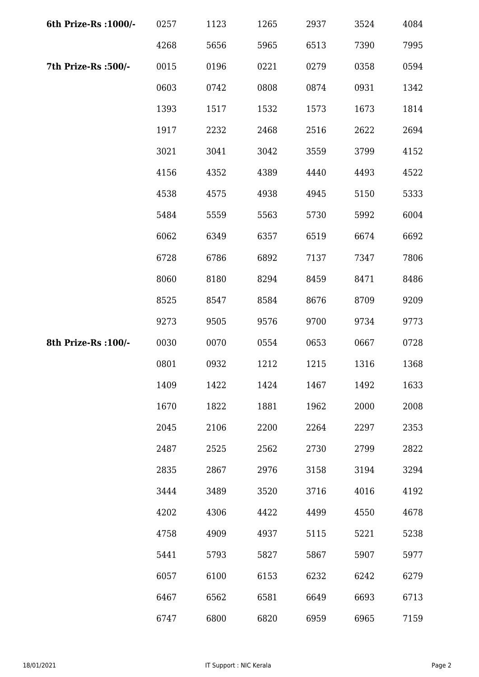| 6th Prize-Rs : 1000/- | 0257 | 1123 | 1265 | 2937 | 3524 | 4084 |
|-----------------------|------|------|------|------|------|------|
|                       | 4268 | 5656 | 5965 | 6513 | 7390 | 7995 |
| 7th Prize-Rs :500/-   | 0015 | 0196 | 0221 | 0279 | 0358 | 0594 |
|                       | 0603 | 0742 | 0808 | 0874 | 0931 | 1342 |
|                       | 1393 | 1517 | 1532 | 1573 | 1673 | 1814 |
|                       | 1917 | 2232 | 2468 | 2516 | 2622 | 2694 |
|                       | 3021 | 3041 | 3042 | 3559 | 3799 | 4152 |
|                       | 4156 | 4352 | 4389 | 4440 | 4493 | 4522 |
|                       | 4538 | 4575 | 4938 | 4945 | 5150 | 5333 |
|                       | 5484 | 5559 | 5563 | 5730 | 5992 | 6004 |
|                       | 6062 | 6349 | 6357 | 6519 | 6674 | 6692 |
|                       | 6728 | 6786 | 6892 | 7137 | 7347 | 7806 |
|                       | 8060 | 8180 | 8294 | 8459 | 8471 | 8486 |
|                       | 8525 | 8547 | 8584 | 8676 | 8709 | 9209 |
|                       | 9273 | 9505 | 9576 | 9700 | 9734 | 9773 |
| 8th Prize-Rs : 100/-  | 0030 | 0070 | 0554 | 0653 | 0667 | 0728 |
|                       | 0801 | 0932 | 1212 | 1215 | 1316 | 1368 |
|                       | 1409 | 1422 | 1424 | 1467 | 1492 | 1633 |
|                       | 1670 | 1822 | 1881 | 1962 | 2000 | 2008 |
|                       | 2045 | 2106 | 2200 | 2264 | 2297 | 2353 |
|                       | 2487 | 2525 | 2562 | 2730 | 2799 | 2822 |
|                       | 2835 | 2867 | 2976 | 3158 | 3194 | 3294 |
|                       | 3444 | 3489 | 3520 | 3716 | 4016 | 4192 |
|                       | 4202 | 4306 | 4422 | 4499 | 4550 | 4678 |
|                       | 4758 | 4909 | 4937 | 5115 | 5221 | 5238 |
|                       | 5441 | 5793 | 5827 | 5867 | 5907 | 5977 |
|                       | 6057 | 6100 | 6153 | 6232 | 6242 | 6279 |
|                       | 6467 | 6562 | 6581 | 6649 | 6693 | 6713 |
|                       | 6747 | 6800 | 6820 | 6959 | 6965 | 7159 |